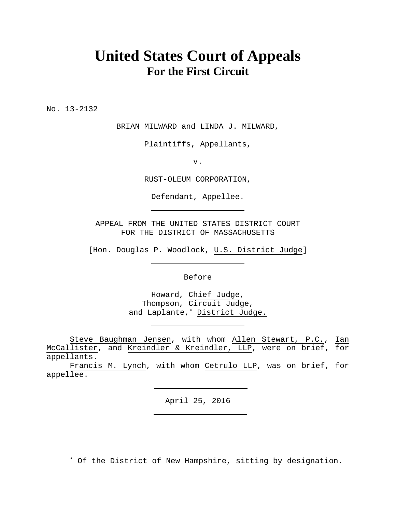# **United States Court of Appeals For the First Circuit**

No. 13-2132

 $\overline{a}$ 

BRIAN MILWARD and LINDA J. MILWARD,

Plaintiffs, Appellants,

v.

RUST-OLEUM CORPORATION,

Defendant, Appellee.

APPEAL FROM THE UNITED STATES DISTRICT COURT FOR THE DISTRICT OF MASSACHUSETTS

[Hon. Douglas P. Woodlock, U.S. District Judge]

Before

Howard, Chief Judge, Thompson, Circuit Judge, and Laplante,\* District Judge.

 Steve Baughman Jensen, with whom Allen Stewart, P.C., Ian McCallister, and Kreindler & Kreindler, LLP, were on brief, for appellants.

 Francis M. Lynch, with whom Cetrulo LLP, was on brief, for appellee.

April 25, 2016

\* Of the District of New Hampshire, sitting by designation.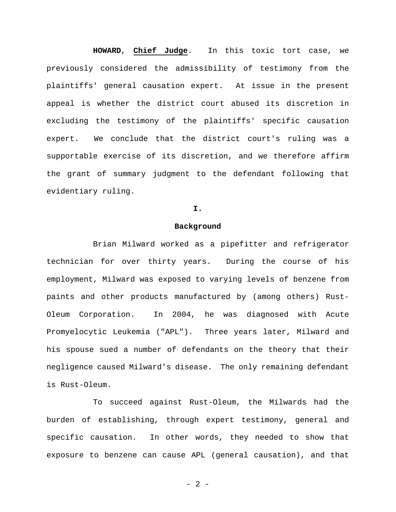**HOWARD**, **Chief Judge**. In this toxic tort case, we previously considered the admissibility of testimony from the plaintiffs' general causation expert. At issue in the present appeal is whether the district court abused its discretion in excluding the testimony of the plaintiffs' specific causation expert. We conclude that the district court's ruling was a supportable exercise of its discretion, and we therefore affirm the grant of summary judgment to the defendant following that evidentiary ruling.

#### **I.**

#### **Background**

Brian Milward worked as a pipefitter and refrigerator technician for over thirty years. During the course of his employment, Milward was exposed to varying levels of benzene from paints and other products manufactured by (among others) Rust-Oleum Corporation. In 2004, he was diagnosed with Acute Promyelocytic Leukemia ("APL"). Three years later, Milward and his spouse sued a number of defendants on the theory that their negligence caused Milward's disease. The only remaining defendant is Rust-Oleum.

 To succeed against Rust-Oleum, the Milwards had the burden of establishing, through expert testimony, general and specific causation. In other words, they needed to show that exposure to benzene can cause APL (general causation), and that

- 2 -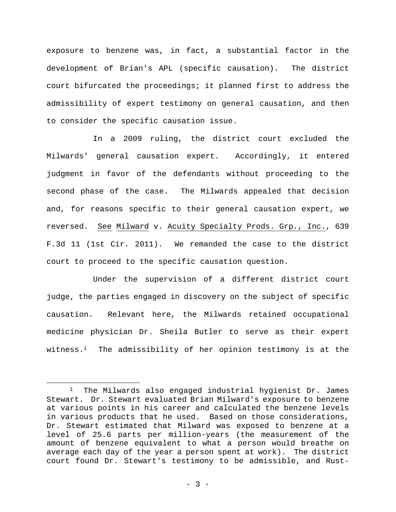exposure to benzene was, in fact, a substantial factor in the development of Brian's APL (specific causation). The district court bifurcated the proceedings; it planned first to address the admissibility of expert testimony on general causation, and then to consider the specific causation issue.

 In a 2009 ruling, the district court excluded the Milwards' general causation expert. Accordingly, it entered judgment in favor of the defendants without proceeding to the second phase of the case. The Milwards appealed that decision and, for reasons specific to their general causation expert, we reversed. See Milward v. Acuity Specialty Prods. Grp., Inc., 639 F.3d 11 (1st Cir. 2011). We remanded the case to the district court to proceed to the specific causation question.

 Under the supervision of a different district court judge, the parties engaged in discovery on the subject of specific causation. Relevant here, the Milwards retained occupational medicine physician Dr. Sheila Butler to serve as their expert witness.1 The admissibility of her opinion testimony is at the

<sup>1</sup> The Milwards also engaged industrial hygienist Dr. James Stewart. Dr. Stewart evaluated Brian Milward's exposure to benzene at various points in his career and calculated the benzene levels in various products that he used. Based on those considerations, Dr. Stewart estimated that Milward was exposed to benzene at a level of 25.6 parts per million-years (the measurement of the amount of benzene equivalent to what a person would breathe on average each day of the year a person spent at work). The district court found Dr. Stewart's testimony to be admissible, and Rust-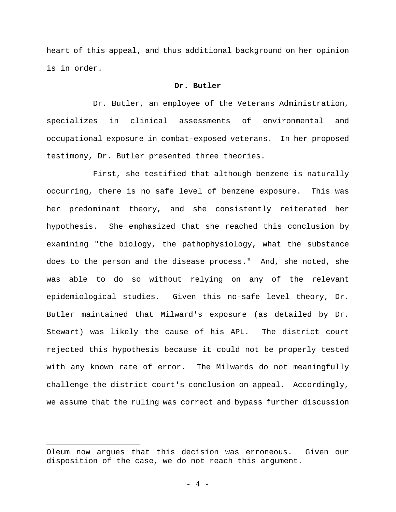heart of this appeal, and thus additional background on her opinion is in order.

### **Dr. Butler**

 Dr. Butler, an employee of the Veterans Administration, specializes in clinical assessments of environmental and occupational exposure in combat-exposed veterans. In her proposed testimony, Dr. Butler presented three theories.

First, she testified that although benzene is naturally occurring, there is no safe level of benzene exposure. This was her predominant theory, and she consistently reiterated her hypothesis. She emphasized that she reached this conclusion by examining "the biology, the pathophysiology, what the substance does to the person and the disease process." And, she noted, she was able to do so without relying on any of the relevant epidemiological studies. Given this no-safe level theory, Dr. Butler maintained that Milward's exposure (as detailed by Dr. Stewart) was likely the cause of his APL. The district court rejected this hypothesis because it could not be properly tested with any known rate of error. The Milwards do not meaningfully challenge the district court's conclusion on appeal. Accordingly, we assume that the ruling was correct and bypass further discussion

Oleum now argues that this decision was erroneous. Given our disposition of the case, we do not reach this argument.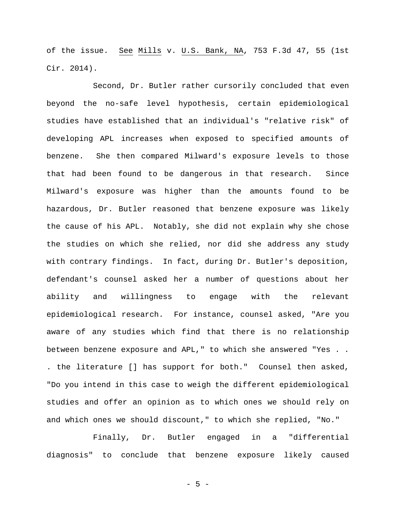of the issue. See Mills v. U.S. Bank, NA, 753 F.3d 47, 55 (1st Cir. 2014).

Second, Dr. Butler rather cursorily concluded that even beyond the no-safe level hypothesis, certain epidemiological studies have established that an individual's "relative risk" of developing APL increases when exposed to specified amounts of benzene. She then compared Milward's exposure levels to those that had been found to be dangerous in that research. Since Milward's exposure was higher than the amounts found to be hazardous, Dr. Butler reasoned that benzene exposure was likely the cause of his APL. Notably, she did not explain why she chose the studies on which she relied, nor did she address any study with contrary findings. In fact, during Dr. Butler's deposition, defendant's counsel asked her a number of questions about her ability and willingness to engage with the relevant epidemiological research. For instance, counsel asked, "Are you aware of any studies which find that there is no relationship between benzene exposure and APL," to which she answered "Yes . . . the literature [] has support for both." Counsel then asked, "Do you intend in this case to weigh the different epidemiological studies and offer an opinion as to which ones we should rely on and which ones we should discount," to which she replied, "No."

Finally, Dr. Butler engaged in a "differential diagnosis" to conclude that benzene exposure likely caused

- 5 -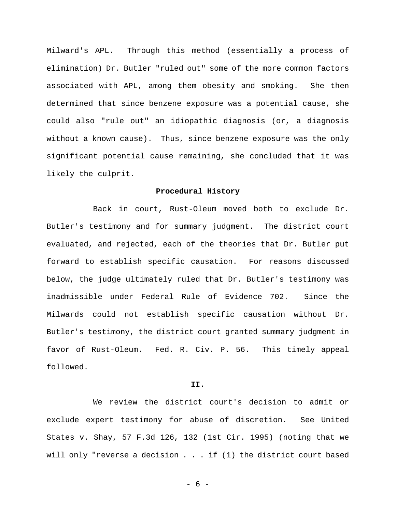Milward's APL. Through this method (essentially a process of elimination) Dr. Butler "ruled out" some of the more common factors associated with APL, among them obesity and smoking. She then determined that since benzene exposure was a potential cause, she could also "rule out" an idiopathic diagnosis (or, a diagnosis without a known cause). Thus, since benzene exposure was the only significant potential cause remaining, she concluded that it was likely the culprit.

#### **Procedural History**

 Back in court, Rust-Oleum moved both to exclude Dr. Butler's testimony and for summary judgment. The district court evaluated, and rejected, each of the theories that Dr. Butler put forward to establish specific causation. For reasons discussed below, the judge ultimately ruled that Dr. Butler's testimony was inadmissible under Federal Rule of Evidence 702. Since the Milwards could not establish specific causation without Dr. Butler's testimony, the district court granted summary judgment in favor of Rust-Oleum. Fed. R. Civ. P. 56. This timely appeal followed.

#### **II.**

We review the district court's decision to admit or exclude expert testimony for abuse of discretion. See United States v. Shay, 57 F.3d 126, 132 (1st Cir. 1995) (noting that we will only "reverse a decision . . . if (1) the district court based

- 6 -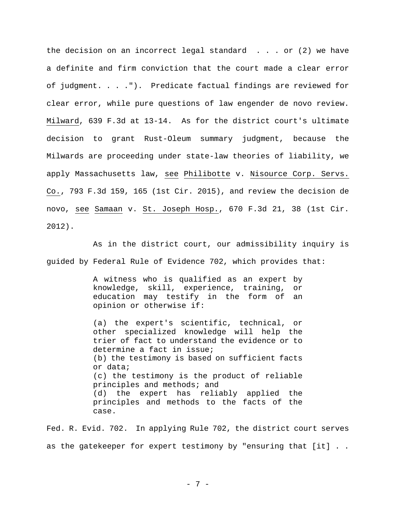the decision on an incorrect legal standard  $\ldots$  or (2) we have a definite and firm conviction that the court made a clear error of judgment. . . ."). Predicate factual findings are reviewed for clear error, while pure questions of law engender de novo review. Milward, 639 F.3d at 13-14. As for the district court's ultimate decision to grant Rust-Oleum summary judgment, because the Milwards are proceeding under state-law theories of liability, we apply Massachusetts law, see Philibotte v. Nisource Corp. Servs. Co., 793 F.3d 159, 165 (1st Cir. 2015), and review the decision de novo, see Samaan v. St. Joseph Hosp., 670 F.3d 21, 38 (1st Cir. 2012).

As in the district court, our admissibility inquiry is guided by Federal Rule of Evidence 702, which provides that:

> A witness who is qualified as an expert by knowledge, skill, experience, training, or education may testify in the form of an opinion or otherwise if:

(a) the expert's scientific, technical, or other specialized knowledge will help the trier of fact to understand the evidence or to determine a fact in issue; (b) the testimony is based on sufficient facts or data; (c) the testimony is the product of reliable principles and methods; and (d) the expert has reliably applied the principles and methods to the facts of the case.

Fed. R. Evid. 702. In applying Rule 702, the district court serves as the gatekeeper for expert testimony by "ensuring that [it] . .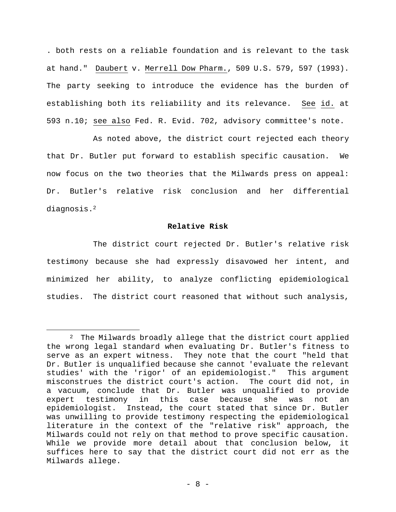. both rests on a reliable foundation and is relevant to the task at hand." Daubert v. Merrell Dow Pharm., 509 U.S. 579, 597 (1993). The party seeking to introduce the evidence has the burden of establishing both its reliability and its relevance. See id. at 593 n.10; see also Fed. R. Evid. 702, advisory committee's note.

 As noted above, the district court rejected each theory that Dr. Butler put forward to establish specific causation. We now focus on the two theories that the Milwards press on appeal: Dr. Butler's relative risk conclusion and her differential diagnosis.2

#### **Relative Risk**

 The district court rejected Dr. Butler's relative risk testimony because she had expressly disavowed her intent, and minimized her ability, to analyze conflicting epidemiological studies. The district court reasoned that without such analysis,

<sup>2</sup> The Milwards broadly allege that the district court applied the wrong legal standard when evaluating Dr. Butler's fitness to serve as an expert witness. They note that the court "held that Dr. Butler is unqualified because she cannot 'evaluate the relevant studies' with the 'rigor' of an epidemiologist." This argument misconstrues the district court's action. The court did not, in a vacuum, conclude that Dr. Butler was unqualified to provide expert testimony in this case because she was not an epidemiologist. Instead, the court stated that since Dr. Butler was unwilling to provide testimony respecting the epidemiological literature in the context of the "relative risk" approach, the Milwards could not rely on that method to prove specific causation. While we provide more detail about that conclusion below, it suffices here to say that the district court did not err as the Milwards allege.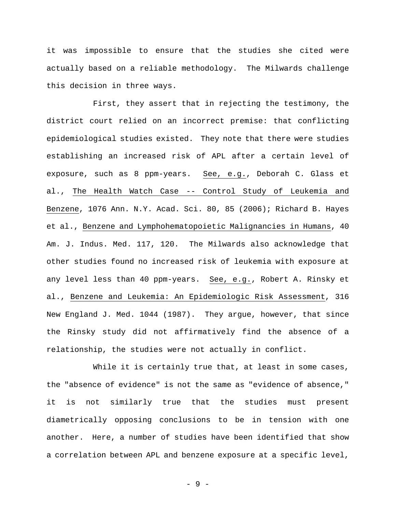it was impossible to ensure that the studies she cited were actually based on a reliable methodology. The Milwards challenge this decision in three ways.

 First, they assert that in rejecting the testimony, the district court relied on an incorrect premise: that conflicting epidemiological studies existed. They note that there were studies establishing an increased risk of APL after a certain level of exposure, such as 8 ppm-years. See, e.g., Deborah C. Glass et al., The Health Watch Case -- Control Study of Leukemia and Benzene, 1076 Ann. N.Y. Acad. Sci. 80, 85 (2006); Richard B. Hayes et al., Benzene and Lymphohematopoietic Malignancies in Humans, 40 Am. J. Indus. Med. 117, 120. The Milwards also acknowledge that other studies found no increased risk of leukemia with exposure at any level less than 40 ppm-years. See, e.g., Robert A. Rinsky et al., Benzene and Leukemia: An Epidemiologic Risk Assessment, 316 New England J. Med. 1044 (1987). They argue, however, that since the Rinsky study did not affirmatively find the absence of a relationship, the studies were not actually in conflict.

While it is certainly true that, at least in some cases, the "absence of evidence" is not the same as "evidence of absence," it is not similarly true that the studies must present diametrically opposing conclusions to be in tension with one another. Here, a number of studies have been identified that show a correlation between APL and benzene exposure at a specific level,

- 9 -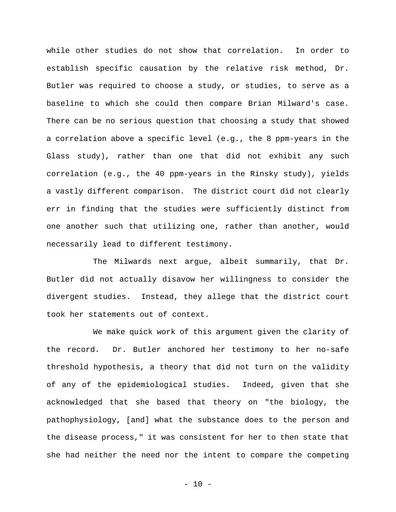while other studies do not show that correlation. In order to establish specific causation by the relative risk method, Dr. Butler was required to choose a study, or studies, to serve as a baseline to which she could then compare Brian Milward's case. There can be no serious question that choosing a study that showed a correlation above a specific level (e.g., the 8 ppm-years in the Glass study), rather than one that did not exhibit any such correlation (e.g., the 40 ppm-years in the Rinsky study), yields a vastly different comparison. The district court did not clearly err in finding that the studies were sufficiently distinct from one another such that utilizing one, rather than another, would necessarily lead to different testimony.

 The Milwards next argue, albeit summarily, that Dr. Butler did not actually disavow her willingness to consider the divergent studies. Instead, they allege that the district court took her statements out of context.

 We make quick work of this argument given the clarity of the record. Dr. Butler anchored her testimony to her no-safe threshold hypothesis, a theory that did not turn on the validity of any of the epidemiological studies. Indeed, given that she acknowledged that she based that theory on "the biology, the pathophysiology, [and] what the substance does to the person and the disease process," it was consistent for her to then state that she had neither the need nor the intent to compare the competing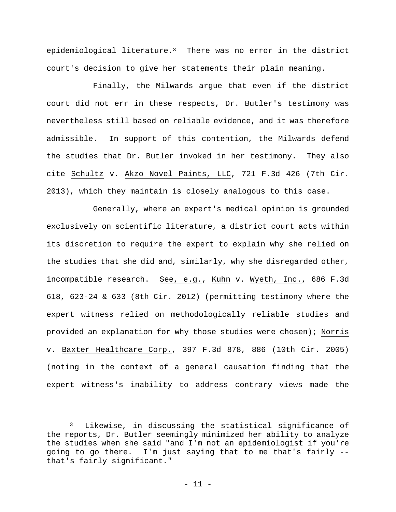epidemiological literature.3 There was no error in the district court's decision to give her statements their plain meaning.

 Finally, the Milwards argue that even if the district court did not err in these respects, Dr. Butler's testimony was nevertheless still based on reliable evidence, and it was therefore admissible. In support of this contention, the Milwards defend the studies that Dr. Butler invoked in her testimony. They also cite Schultz v. Akzo Novel Paints, LLC, 721 F.3d 426 (7th Cir. 2013), which they maintain is closely analogous to this case.

 Generally, where an expert's medical opinion is grounded exclusively on scientific literature, a district court acts within its discretion to require the expert to explain why she relied on the studies that she did and, similarly, why she disregarded other, incompatible research. See, e.g., Kuhn v. Wyeth, Inc., 686 F.3d 618, 623-24 & 633 (8th Cir. 2012) (permitting testimony where the expert witness relied on methodologically reliable studies and provided an explanation for why those studies were chosen); Norris v. Baxter Healthcare Corp., 397 F.3d 878, 886 (10th Cir. 2005) (noting in the context of a general causation finding that the expert witness's inability to address contrary views made the

<sup>3</sup> Likewise, in discussing the statistical significance of the reports, Dr. Butler seemingly minimized her ability to analyze the studies when she said "and I'm not an epidemiologist if you're going to go there. I'm just saying that to me that's fairly - that's fairly significant."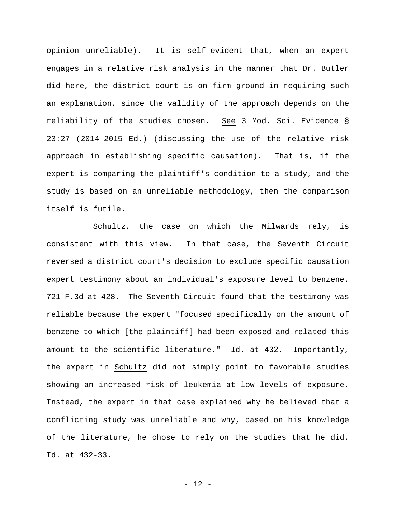opinion unreliable). It is self-evident that, when an expert engages in a relative risk analysis in the manner that Dr. Butler did here, the district court is on firm ground in requiring such an explanation, since the validity of the approach depends on the reliability of the studies chosen. See 3 Mod. Sci. Evidence § 23:27 (2014-2015 Ed.) (discussing the use of the relative risk approach in establishing specific causation). That is, if the expert is comparing the plaintiff's condition to a study, and the study is based on an unreliable methodology, then the comparison itself is futile.

 Schultz, the case on which the Milwards rely, is consistent with this view. In that case, the Seventh Circuit reversed a district court's decision to exclude specific causation expert testimony about an individual's exposure level to benzene. 721 F.3d at 428. The Seventh Circuit found that the testimony was reliable because the expert "focused specifically on the amount of benzene to which [the plaintiff] had been exposed and related this amount to the scientific literature." Id. at 432. Importantly, the expert in Schultz did not simply point to favorable studies showing an increased risk of leukemia at low levels of exposure. Instead, the expert in that case explained why he believed that a conflicting study was unreliable and why, based on his knowledge of the literature, he chose to rely on the studies that he did. Id. at 432-33.

- 12 -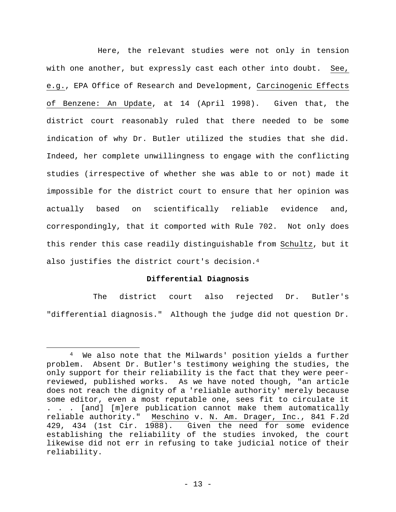Here, the relevant studies were not only in tension with one another, but expressly cast each other into doubt. See, e.g., EPA Office of Research and Development, Carcinogenic Effects of Benzene: An Update, at 14 (April 1998). Given that, the district court reasonably ruled that there needed to be some indication of why Dr. Butler utilized the studies that she did. Indeed, her complete unwillingness to engage with the conflicting studies (irrespective of whether she was able to or not) made it impossible for the district court to ensure that her opinion was actually based on scientifically reliable evidence and, correspondingly, that it comported with Rule 702. Not only does this render this case readily distinguishable from Schultz, but it also justifies the district court's decision.4

## **Differential Diagnosis**

The district court also rejected Dr. Butler's "differential diagnosis." Although the judge did not question Dr.

<sup>4</sup> We also note that the Milwards' position yields a further problem. Absent Dr. Butler's testimony weighing the studies, the only support for their reliability is the fact that they were peerreviewed, published works. As we have noted though, "an article does not reach the dignity of a 'reliable authority' merely because some editor, even a most reputable one, sees fit to circulate it . . . [and] [m]ere publication cannot make them automatically reliable authority." Meschino v. N. Am. Drager, Inc., 841 F.2d 429, 434 (1st Cir. 1988). Given the need for some evidence establishing the reliability of the studies invoked, the court likewise did not err in refusing to take judicial notice of their reliability.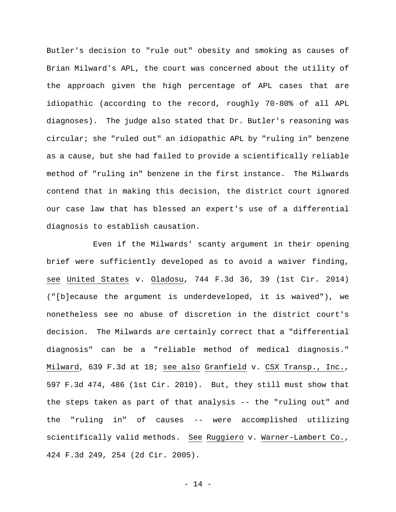Butler's decision to "rule out" obesity and smoking as causes of Brian Milward's APL, the court was concerned about the utility of the approach given the high percentage of APL cases that are idiopathic (according to the record, roughly 70-80% of all APL diagnoses). The judge also stated that Dr. Butler's reasoning was circular; she "ruled out" an idiopathic APL by "ruling in" benzene as a cause, but she had failed to provide a scientifically reliable method of "ruling in" benzene in the first instance. The Milwards contend that in making this decision, the district court ignored our case law that has blessed an expert's use of a differential diagnosis to establish causation.

Even if the Milwards' scanty argument in their opening brief were sufficiently developed as to avoid a waiver finding, see United States v. Oladosu, 744 F.3d 36, 39 (1st Cir. 2014) ("[b]ecause the argument is underdeveloped, it is waived"), we nonetheless see no abuse of discretion in the district court's decision. The Milwards are certainly correct that a "differential diagnosis" can be a "reliable method of medical diagnosis." Milward, 639 F.3d at 18; see also Granfield v. CSX Transp., Inc., 597 F.3d 474, 486 (1st Cir. 2010). But, they still must show that the steps taken as part of that analysis -- the "ruling out" and the "ruling in" of causes -- were accomplished utilizing scientifically valid methods. See Ruggiero v. Warner-Lambert Co., 424 F.3d 249, 254 (2d Cir. 2005).

- 14 -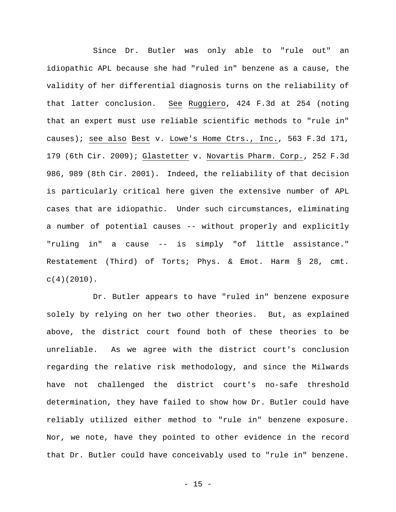Since Dr. Butler was only able to "rule out" an idiopathic APL because she had "ruled in" benzene as a cause, the validity of her differential diagnosis turns on the reliability of that latter conclusion. See Ruggiero, 424 F.3d at 254 (noting that an expert must use reliable scientific methods to "rule in" causes); see also Best v. Lowe's Home Ctrs., Inc., 563 F.3d 171, 179 (6th Cir. 2009); Glastetter v. Novartis Pharm. Corp., 252 F.3d 986, 989 (8th Cir. 2001). Indeed, the reliability of that decision is particularly critical here given the extensive number of APL cases that are idiopathic. Under such circumstances, eliminating a number of potential causes -- without properly and explicitly "ruling in" a cause -- is simply "of little assistance." Restatement (Third) of Torts; Phys. & Emot. Harm § 28, cmt.  $c(4)(2010)$ .

Dr. Butler appears to have "ruled in" benzene exposure solely by relying on her two other theories. But, as explained above, the district court found both of these theories to be unreliable. As we agree with the district court's conclusion regarding the relative risk methodology, and since the Milwards have not challenged the district court's no-safe threshold determination, they have failed to show how Dr. Butler could have reliably utilized either method to "rule in" benzene exposure. Nor, we note, have they pointed to other evidence in the record that Dr. Butler could have conceivably used to "rule in" benzene.

 $- 15 -$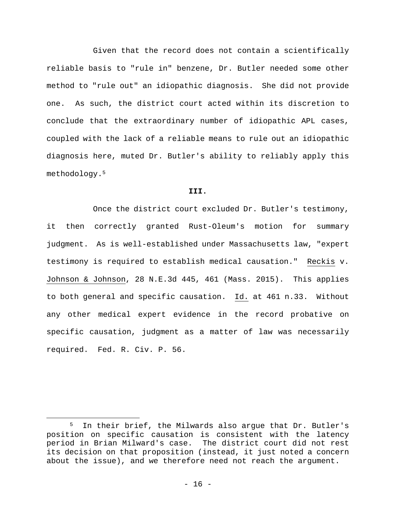Given that the record does not contain a scientifically reliable basis to "rule in" benzene, Dr. Butler needed some other method to "rule out" an idiopathic diagnosis. She did not provide one. As such, the district court acted within its discretion to conclude that the extraordinary number of idiopathic APL cases, coupled with the lack of a reliable means to rule out an idiopathic diagnosis here, muted Dr. Butler's ability to reliably apply this methodology.5

#### **III.**

 Once the district court excluded Dr. Butler's testimony, it then correctly granted Rust-Oleum's motion for summary judgment. As is well-established under Massachusetts law, "expert testimony is required to establish medical causation." Reckis v. Johnson & Johnson, 28 N.E.3d 445, 461 (Mass. 2015). This applies to both general and specific causation. Id. at 461 n.33. Without any other medical expert evidence in the record probative on specific causation, judgment as a matter of law was necessarily required. Fed. R. Civ. P. 56.

<sup>5</sup> In their brief, the Milwards also argue that Dr. Butler's position on specific causation is consistent with the latency period in Brian Milward's case. The district court did not rest its decision on that proposition (instead, it just noted a concern about the issue), and we therefore need not reach the argument.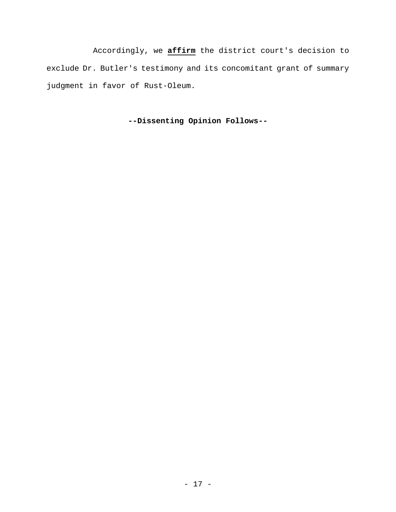Accordingly, we **affirm** the district court's decision to exclude Dr. Butler's testimony and its concomitant grant of summary judgment in favor of Rust-Oleum.

**--Dissenting Opinion Follows--**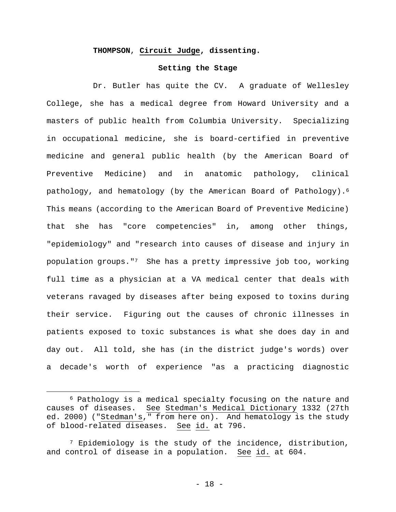## **THOMPSON**, **Circuit Judge, dissenting.**

#### **Setting the Stage**

Dr. Butler has quite the CV. A graduate of Wellesley College, she has a medical degree from Howard University and a masters of public health from Columbia University. Specializing in occupational medicine, she is board-certified in preventive medicine and general public health (by the American Board of Preventive Medicine) and in anatomic pathology, clinical pathology, and hematology (by the American Board of Pathology).6 This means (according to the American Board of Preventive Medicine) that she has "core competencies" in, among other things, "epidemiology" and "research into causes of disease and injury in population groups."7 She has a pretty impressive job too, working full time as a physician at a VA medical center that deals with veterans ravaged by diseases after being exposed to toxins during their service. Figuring out the causes of chronic illnesses in patients exposed to toxic substances is what she does day in and day out. All told, she has (in the district judge's words) over a decade's worth of experience "as a practicing diagnostic

<sup>6</sup> Pathology is a medical specialty focusing on the nature and causes of diseases. See Stedman's Medical Dictionary 1332 (27th ed. 2000) ("Stedman's," from here on). And hematology is the study of blood-related diseases. See id. at 796.

<sup>7</sup> Epidemiology is the study of the incidence, distribution, and control of disease in a population. See id. at 604.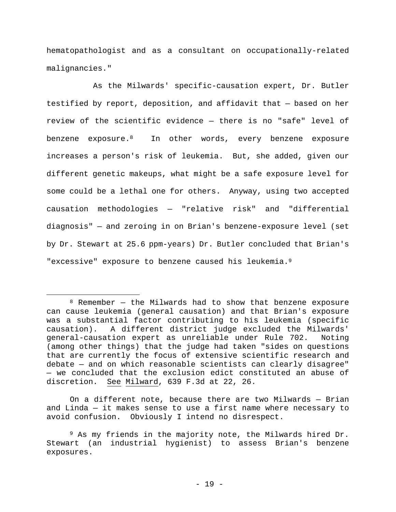hematopathologist and as a consultant on occupationally-related malignancies."

As the Milwards' specific-causation expert, Dr. Butler testified by report, deposition, and affidavit that — based on her review of the scientific evidence — there is no "safe" level of benzene exposure.8 In other words, every benzene exposure increases a person's risk of leukemia. But, she added, given our different genetic makeups, what might be a safe exposure level for some could be a lethal one for others. Anyway, using two accepted causation methodologies — "relative risk" and "differential diagnosis" — and zeroing in on Brian's benzene-exposure level (set by Dr. Stewart at 25.6 ppm-years) Dr. Butler concluded that Brian's "excessive" exposure to benzene caused his leukemia.<sup>9</sup>

 $\overline{a}$ 

On a different note, because there are two Milwards — Brian and Linda — it makes sense to use a first name where necessary to avoid confusion. Obviously I intend no disrespect.

 $8$  Remember – the Milwards had to show that benzene exposure can cause leukemia (general causation) and that Brian's exposure was a substantial factor contributing to his leukemia (specific causation). A different district judge excluded the Milwards' general-causation expert as unreliable under Rule 702. Noting (among other things) that the judge had taken "sides on questions that are currently the focus of extensive scientific research and debate — and on which reasonable scientists can clearly disagree" — we concluded that the exclusion edict constituted an abuse of discretion. See Milward, 639 F.3d at 22, 26.

<sup>9</sup> As my friends in the majority note, the Milwards hired Dr. Stewart (an industrial hygienist) to assess Brian's benzene exposures.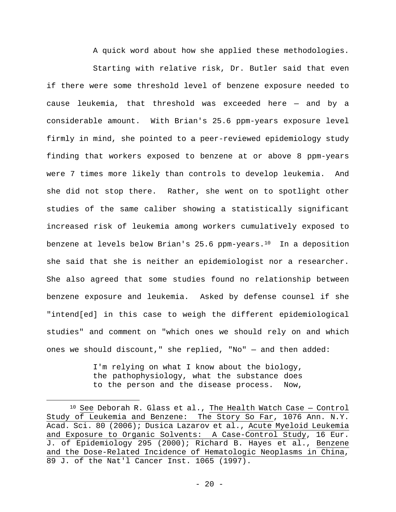A quick word about how she applied these methodologies. Starting with relative risk, Dr. Butler said that even if there were some threshold level of benzene exposure needed to cause leukemia, that threshold was exceeded here — and by a considerable amount. With Brian's 25.6 ppm-years exposure level firmly in mind, she pointed to a peer-reviewed epidemiology study finding that workers exposed to benzene at or above 8 ppm-years were 7 times more likely than controls to develop leukemia. And she did not stop there. Rather, she went on to spotlight other studies of the same caliber showing a statistically significant increased risk of leukemia among workers cumulatively exposed to benzene at levels below Brian's 25.6 ppm-years.<sup>10</sup> In a deposition she said that she is neither an epidemiologist nor a researcher. She also agreed that some studies found no relationship between benzene exposure and leukemia. Asked by defense counsel if she "intend[ed] in this case to weigh the different epidemiological studies" and comment on "which ones we should rely on and which ones we should discount," she replied, "No" — and then added:

> I'm relying on what I know about the biology, the pathophysiology, what the substance does to the person and the disease process. Now,

 $10$  See Deborah R. Glass et al., The Health Watch Case - Control Study of Leukemia and Benzene: The Story So Far, 1076 Ann. N.Y. Acad. Sci. 80 (2006); Dusica Lazarov et al., Acute Myeloid Leukemia and Exposure to Organic Solvents: A Case-Control Study, 16 Eur. J. of Epidemiology 295 (2000); Richard B. Hayes et al., Benzene and the Dose-Related Incidence of Hematologic Neoplasms in China, 89 J. of the Nat'l Cancer Inst. 1065 (1997).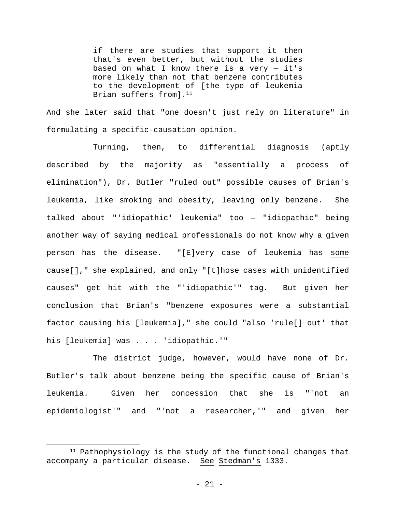if there are studies that support it then that's even better, but without the studies based on what I know there is a very  $-$  it's more likely than not that benzene contributes to the development of [the type of leukemia Brian suffers from].<sup>11</sup>

And she later said that "one doesn't just rely on literature" in formulating a specific-causation opinion.

Turning, then, to differential diagnosis (aptly described by the majority as "essentially a process of elimination"), Dr. Butler "ruled out" possible causes of Brian's leukemia, like smoking and obesity, leaving only benzene. She talked about "'idiopathic' leukemia" too — "idiopathic" being another way of saying medical professionals do not know why a given person has the disease. "[E]very case of leukemia has some cause[]," she explained, and only "[t]hose cases with unidentified causes" get hit with the "'idiopathic'" tag. But given her conclusion that Brian's "benzene exposures were a substantial factor causing his [leukemia]," she could "also 'rule[] out' that his [leukemia] was . . . 'idiopathic.'"

The district judge, however, would have none of Dr. Butler's talk about benzene being the specific cause of Brian's leukemia. Given her concession that she is "'not an epidemiologist'" and "'not a researcher,'" and given her

<sup>&</sup>lt;sup>11</sup> Pathophysiology is the study of the functional changes that accompany a particular disease. See Stedman's 1333.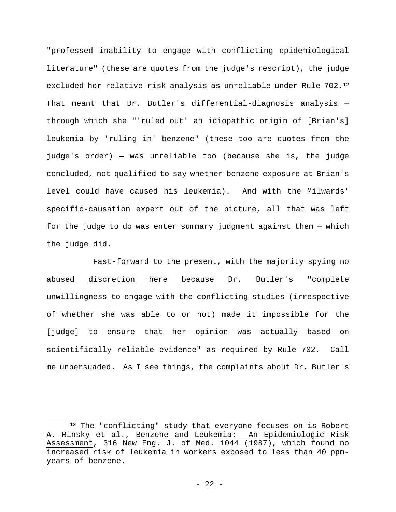"professed inability to engage with conflicting epidemiological literature" (these are quotes from the judge's rescript), the judge excluded her relative-risk analysis as unreliable under Rule 702.12 That meant that Dr. Butler's differential-diagnosis analysis through which she "'ruled out' an idiopathic origin of [Brian's] leukemia by 'ruling in' benzene" (these too are quotes from the judge's order) — was unreliable too (because she is, the judge concluded, not qualified to say whether benzene exposure at Brian's level could have caused his leukemia). And with the Milwards' specific-causation expert out of the picture, all that was left for the judge to do was enter summary judgment against them — which the judge did.

Fast-forward to the present, with the majority spying no abused discretion here because Dr. Butler's "complete unwillingness to engage with the conflicting studies (irrespective of whether she was able to or not) made it impossible for the [judge] to ensure that her opinion was actually based on scientifically reliable evidence" as required by Rule 702. Call me unpersuaded. As I see things, the complaints about Dr. Butler's

1

<sup>&</sup>lt;sup>12</sup> The "conflicting" study that everyone focuses on is Robert A. Rinsky et al., Benzene and Leukemia: An Epidemiologic Risk Assessment, 316 New Eng. J. of Med. 1044 (1987), which found no increased risk of leukemia in workers exposed to less than 40 ppmyears of benzene.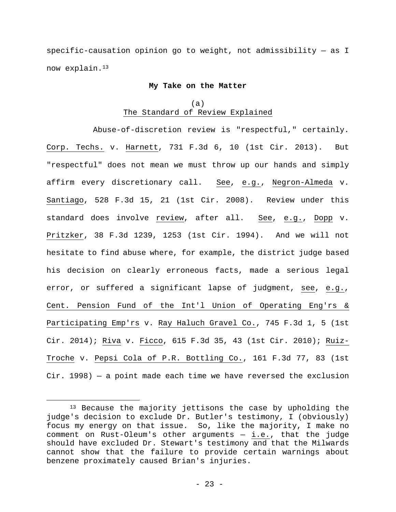specific-causation opinion go to weight, not admissibility — as I now explain.13

#### **My Take on the Matter**

# (a) The Standard of Review Explained

Abuse-of-discretion review is "respectful," certainly. Corp. Techs. v. Harnett, 731 F.3d 6, 10 (1st Cir. 2013). But "respectful" does not mean we must throw up our hands and simply affirm every discretionary call. See, e.g., Negron-Almeda v. Santiago, 528 F.3d 15, 21 (1st Cir. 2008). Review under this standard does involve review, after all. See, e.g., Dopp v. Pritzker, 38 F.3d 1239, 1253 (1st Cir. 1994). And we will not hesitate to find abuse where, for example, the district judge based his decision on clearly erroneous facts, made a serious legal error, or suffered a significant lapse of judgment, see, e.g., Cent. Pension Fund of the Int'l Union of Operating Eng'rs & Participating Emp'rs v. Ray Haluch Gravel Co., 745 F.3d 1, 5 (1st Cir. 2014); Riva v. Ficco, 615 F.3d 35, 43 (1st Cir. 2010); Ruiz-Troche v. Pepsi Cola of P.R. Bottling Co., 161 F.3d 77, 83 (1st Cir. 1998) — a point made each time we have reversed the exclusion

<sup>&</sup>lt;sup>13</sup> Because the majority jettisons the case by upholding the judge's decision to exclude Dr. Butler's testimony, I (obviously) focus my energy on that issue. So, like the majority, I make no comment on Rust-Oleum's other arguments — i.e., that the judge should have excluded Dr. Stewart's testimony and that the Milwards cannot show that the failure to provide certain warnings about benzene proximately caused Brian's injuries.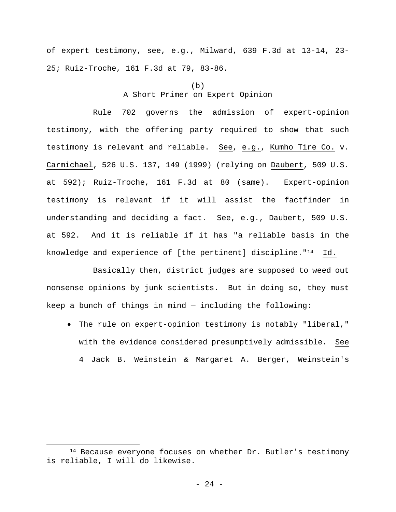of expert testimony, see, e.g., Milward, 639 F.3d at 13-14, 23- 25; Ruiz-Troche, 161 F.3d at 79, 83-86.

# (b) A Short Primer on Expert Opinion

Rule 702 governs the admission of expert-opinion testimony, with the offering party required to show that such testimony is relevant and reliable. See, e.g., Kumho Tire Co. v. Carmichael, 526 U.S. 137, 149 (1999) (relying on Daubert, 509 U.S. at 592); Ruiz-Troche, 161 F.3d at 80 (same). Expert-opinion testimony is relevant if it will assist the factfinder in understanding and deciding a fact. See, e.g., Daubert, 509 U.S. at 592. And it is reliable if it has "a reliable basis in the knowledge and experience of [the pertinent] discipline."14 Id.

Basically then, district judges are supposed to weed out nonsense opinions by junk scientists. But in doing so, they must keep a bunch of things in mind — including the following:

 The rule on expert-opinion testimony is notably "liberal," with the evidence considered presumptively admissible. See 4 Jack B. Weinstein & Margaret A. Berger, Weinstein's

<sup>&</sup>lt;sup>14</sup> Because everyone focuses on whether Dr. Butler's testimony is reliable, I will do likewise.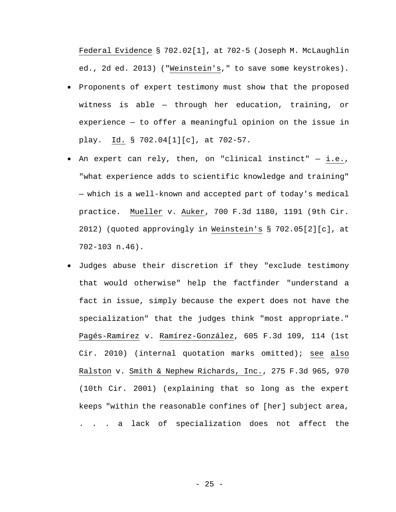Federal Evidence § 702.02[1], at 702-5 (Joseph M. McLaughlin ed., 2d ed. 2013) ("Weinstein's," to save some keystrokes).

- Proponents of expert testimony must show that the proposed witness is able — through her education, training, or experience — to offer a meaningful opinion on the issue in play. Id. § 702.04[1][c], at 702-57.
- An expert can rely, then, on "clinical instinct" i.e., "what experience adds to scientific knowledge and training" — which is a well-known and accepted part of today's medical practice. Mueller v. Auker, 700 F.3d 1180, 1191 (9th Cir. 2012) (quoted approvingly in Weinstein's § 702.05[2][c], at 702-103 n.46).
- Judges abuse their discretion if they "exclude testimony that would otherwise" help the factfinder "understand a fact in issue, simply because the expert does not have the specialization" that the judges think "most appropriate." Pagés-Ramírez v. Ramírez-González, 605 F.3d 109, 114 (1st Cir. 2010) (internal quotation marks omitted); see also Ralston v. Smith & Nephew Richards, Inc., 275 F.3d 965, 970 (10th Cir. 2001) (explaining that so long as the expert keeps "within the reasonable confines of [her] subject area, . . . a lack of specialization does not affect the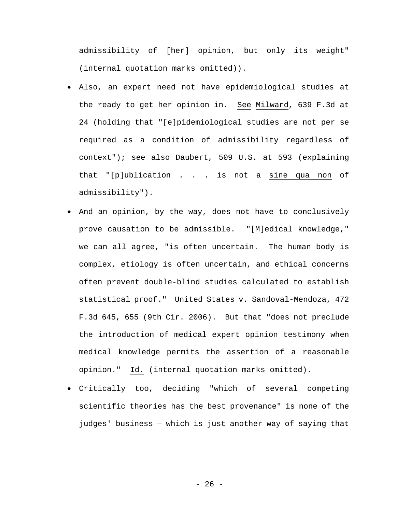admissibility of [her] opinion, but only its weight" (internal quotation marks omitted)).

- Also, an expert need not have epidemiological studies at the ready to get her opinion in. See Milward, 639 F.3d at 24 (holding that "[e]pidemiological studies are not per se required as a condition of admissibility regardless of context"); see also Daubert, 509 U.S. at 593 (explaining that "[p]ublication . . . is not a sine qua non of admissibility").
- And an opinion, by the way, does not have to conclusively prove causation to be admissible. "[M]edical knowledge," we can all agree, "is often uncertain. The human body is complex, etiology is often uncertain, and ethical concerns often prevent double-blind studies calculated to establish statistical proof." United States v. Sandoval-Mendoza, 472 F.3d 645, 655 (9th Cir. 2006). But that "does not preclude the introduction of medical expert opinion testimony when medical knowledge permits the assertion of a reasonable opinion." Id. (internal quotation marks omitted).
- Critically too, deciding "which of several competing scientific theories has the best provenance" is none of the judges' business — which is just another way of saying that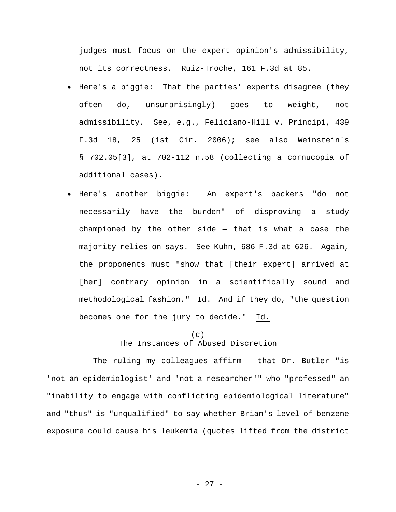judges must focus on the expert opinion's admissibility, not its correctness. Ruiz-Troche, 161 F.3d at 85.

- Here's a biggie: That the parties' experts disagree (they often do, unsurprisingly) goes to weight, not admissibility. See, e.g., Feliciano-Hill v. Principi, 439 F.3d 18, 25 (1st Cir. 2006); see also Weinstein's § 702.05[3], at 702-112 n.58 (collecting a cornucopia of additional cases).
- Here's another biggie: An expert's backers "do not necessarily have the burden" of disproving a study championed by the other side  $-$  that is what a case the majority relies on says. See Kuhn, 686 F.3d at 626. Again, the proponents must "show that [their expert] arrived at [her] contrary opinion in a scientifically sound and methodological fashion." Id. And if they do, "the question becomes one for the jury to decide." Id.

# $(c)$ The Instances of Abused Discretion

The ruling my colleagues affirm — that Dr. Butler "is 'not an epidemiologist' and 'not a researcher'" who "professed" an "inability to engage with conflicting epidemiological literature" and "thus" is "unqualified" to say whether Brian's level of benzene exposure could cause his leukemia (quotes lifted from the district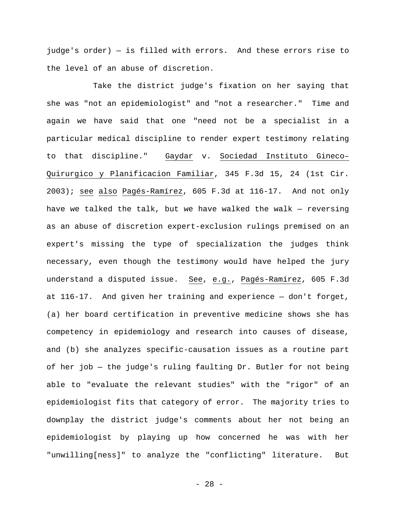judge's order) — is filled with errors. And these errors rise to the level of an abuse of discretion.

Take the district judge's fixation on her saying that she was "not an epidemiologist" and "not a researcher." Time and again we have said that one "need not be a specialist in a particular medical discipline to render expert testimony relating to that discipline." Gaydar v. Sociedad Instituto Gineco– Quirurgico y Planificacion Familiar, 345 F.3d 15, 24 (1st Cir. 2003); see also Pagés-Ramírez, 605 F.3d at 116-17. And not only have we talked the talk, but we have walked the walk — reversing as an abuse of discretion expert-exclusion rulings premised on an expert's missing the type of specialization the judges think necessary, even though the testimony would have helped the jury understand a disputed issue. See, e.g., Pagés-Ramírez, 605 F.3d at 116-17. And given her training and experience — don't forget, (a) her board certification in preventive medicine shows she has competency in epidemiology and research into causes of disease, and (b) she analyzes specific-causation issues as a routine part of her job — the judge's ruling faulting Dr. Butler for not being able to "evaluate the relevant studies" with the "rigor" of an epidemiologist fits that category of error. The majority tries to downplay the district judge's comments about her not being an epidemiologist by playing up how concerned he was with her "unwilling[ness]" to analyze the "conflicting" literature. But

- 28 -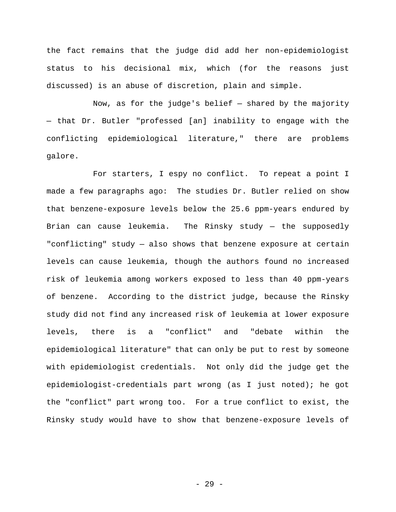the fact remains that the judge did add her non-epidemiologist status to his decisional mix, which (for the reasons just discussed) is an abuse of discretion, plain and simple.

Now, as for the judge's belief  $-$  shared by the majority — that Dr. Butler "professed [an] inability to engage with the conflicting epidemiological literature," there are problems galore.

For starters, I espy no conflict. To repeat a point I made a few paragraphs ago: The studies Dr. Butler relied on show that benzene-exposure levels below the 25.6 ppm-years endured by Brian can cause leukemia. The Rinsky study — the supposedly "conflicting" study — also shows that benzene exposure at certain levels can cause leukemia, though the authors found no increased risk of leukemia among workers exposed to less than 40 ppm-years of benzene. According to the district judge, because the Rinsky study did not find any increased risk of leukemia at lower exposure levels, there is a "conflict" and "debate within the epidemiological literature" that can only be put to rest by someone with epidemiologist credentials. Not only did the judge get the epidemiologist-credentials part wrong (as I just noted); he got the "conflict" part wrong too. For a true conflict to exist, the Rinsky study would have to show that benzene-exposure levels of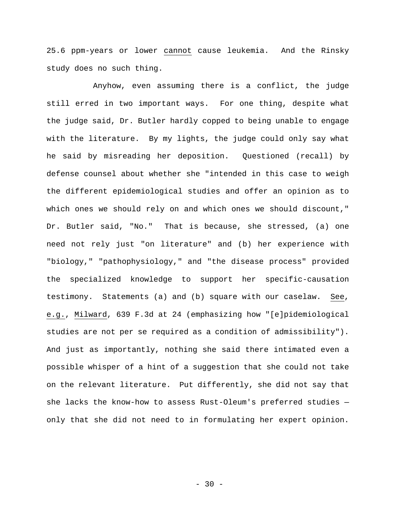25.6 ppm-years or lower cannot cause leukemia. And the Rinsky study does no such thing.

Anyhow, even assuming there is a conflict, the judge still erred in two important ways. For one thing, despite what the judge said, Dr. Butler hardly copped to being unable to engage with the literature. By my lights, the judge could only say what he said by misreading her deposition. Questioned (recall) by defense counsel about whether she "intended in this case to weigh the different epidemiological studies and offer an opinion as to which ones we should rely on and which ones we should discount," Dr. Butler said, "No." That is because, she stressed, (a) one need not rely just "on literature" and (b) her experience with "biology," "pathophysiology," and "the disease process" provided the specialized knowledge to support her specific-causation testimony. Statements (a) and (b) square with our caselaw. See, e.g., Milward, 639 F.3d at 24 (emphasizing how "[e]pidemiological studies are not per se required as a condition of admissibility"). And just as importantly, nothing she said there intimated even a possible whisper of a hint of a suggestion that she could not take on the relevant literature. Put differently, she did not say that she lacks the know-how to assess Rust-Oleum's preferred studies only that she did not need to in formulating her expert opinion.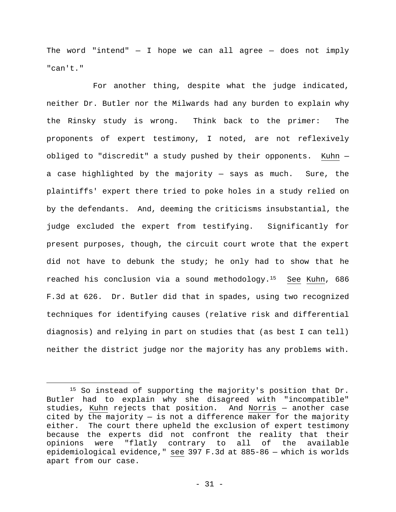The word "intend"  $-$  I hope we can all agree  $-$  does not imply "can't."

For another thing, despite what the judge indicated, neither Dr. Butler nor the Milwards had any burden to explain why the Rinsky study is wrong. Think back to the primer: The proponents of expert testimony, I noted, are not reflexively obliged to "discredit" a study pushed by their opponents. Kuhn a case highlighted by the majority — says as much. Sure, the plaintiffs' expert there tried to poke holes in a study relied on by the defendants. And, deeming the criticisms insubstantial, the judge excluded the expert from testifying. Significantly for present purposes, though, the circuit court wrote that the expert did not have to debunk the study; he only had to show that he reached his conclusion via a sound methodology.15 See Kuhn, 686 F.3d at 626. Dr. Butler did that in spades, using two recognized techniques for identifying causes (relative risk and differential diagnosis) and relying in part on studies that (as best I can tell) neither the district judge nor the majority has any problems with.

<sup>15</sup> So instead of supporting the majority's position that Dr. Butler had to explain why she disagreed with "incompatible" studies, Kuhn rejects that position. And Norris — another case cited by the majority  $-$  is not a difference maker for the majority either. The court there upheld the exclusion of expert testimony because the experts did not confront the reality that their opinions were "flatly contrary to all of the available epidemiological evidence," see 397 F.3d at 885-86 — which is worlds apart from our case.